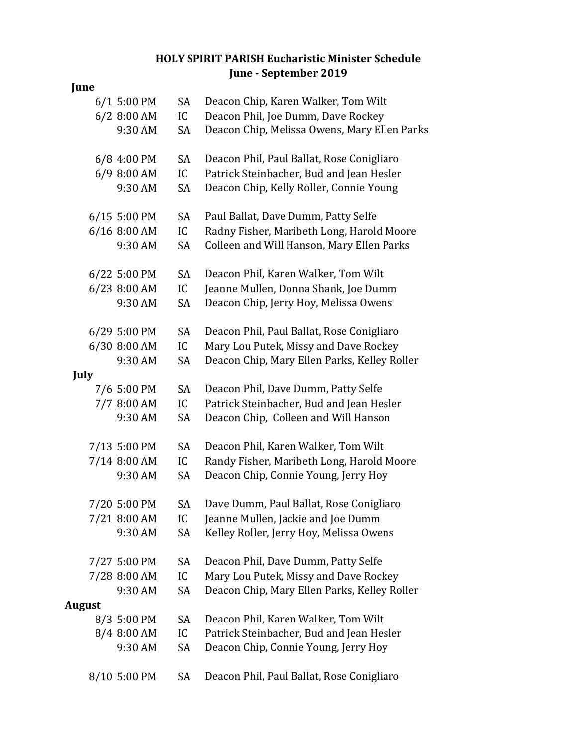## **HOLY SPIRIT PARISH Eucharistic Minister Schedule June - September 2019**

| June          |              |    |                                              |
|---------------|--------------|----|----------------------------------------------|
|               | 6/1 5:00 PM  | SA | Deacon Chip, Karen Walker, Tom Wilt          |
|               | 6/2 8:00 AM  | IC | Deacon Phil, Joe Dumm, Dave Rockey           |
|               | 9:30 AM      | SA | Deacon Chip, Melissa Owens, Mary Ellen Parks |
|               | 6/8 4:00 PM  | SA | Deacon Phil, Paul Ballat, Rose Conigliaro    |
|               | 6/9 8:00 AM  | IC | Patrick Steinbacher, Bud and Jean Hesler     |
|               | 9:30 AM      | SA | Deacon Chip, Kelly Roller, Connie Young      |
|               | 6/15 5:00 PM | SA | Paul Ballat, Dave Dumm, Patty Selfe          |
|               | 6/16 8:00 AM | IC | Radny Fisher, Maribeth Long, Harold Moore    |
|               | 9:30 AM      | SA | Colleen and Will Hanson, Mary Ellen Parks    |
|               | 6/22 5:00 PM | SA | Deacon Phil, Karen Walker, Tom Wilt          |
|               | 6/23 8:00 AM | IC | Jeanne Mullen, Donna Shank, Joe Dumm         |
|               | 9:30 AM      | SA | Deacon Chip, Jerry Hoy, Melissa Owens        |
|               | 6/29 5:00 PM | SA | Deacon Phil, Paul Ballat, Rose Conigliaro    |
|               | 6/30 8:00 AM | IC | Mary Lou Putek, Missy and Dave Rockey        |
|               | 9:30 AM      | SA | Deacon Chip, Mary Ellen Parks, Kelley Roller |
| July          |              |    |                                              |
|               | 7/6 5:00 PM  | SA | Deacon Phil, Dave Dumm, Patty Selfe          |
|               | 7/7 8:00 AM  | IC | Patrick Steinbacher, Bud and Jean Hesler     |
|               | 9:30 AM      | SA | Deacon Chip, Colleen and Will Hanson         |
|               | 7/13 5:00 PM | SA | Deacon Phil, Karen Walker, Tom Wilt          |
|               | 7/14 8:00 AM | IC | Randy Fisher, Maribeth Long, Harold Moore    |
|               | 9:30 AM      | SA | Deacon Chip, Connie Young, Jerry Hoy         |
|               | 7/20 5:00 PM | SA | Dave Dumm, Paul Ballat, Rose Conigliaro      |
|               | 7/21 8:00 AM | IC | Jeanne Mullen, Jackie and Joe Dumm           |
|               | 9:30 AM      | SA | Kelley Roller, Jerry Hoy, Melissa Owens      |
|               | 7/27 5:00 PM | SA | Deacon Phil, Dave Dumm, Patty Selfe          |
|               | 7/28 8:00 AM | IC | Mary Lou Putek, Missy and Dave Rockey        |
|               | 9:30 AM      | SA | Deacon Chip, Mary Ellen Parks, Kelley Roller |
| <b>August</b> |              |    |                                              |
|               | 8/3 5:00 PM  | SA | Deacon Phil, Karen Walker, Tom Wilt          |
|               | 8/4 8:00 AM  | IC | Patrick Steinbacher, Bud and Jean Hesler     |
|               | 9:30 AM      | SA | Deacon Chip, Connie Young, Jerry Hoy         |
|               | 8/10 5:00 PM | SA | Deacon Phil, Paul Ballat, Rose Conigliaro    |